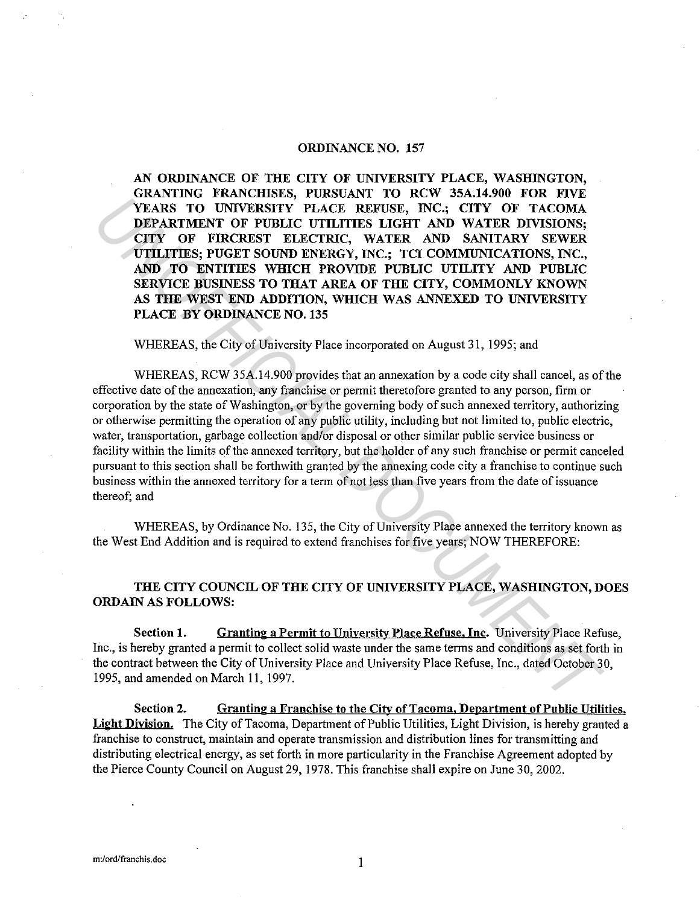## ORDINANCE NO. 157

AN ORDINANCE OF THE CITY OF UNIVERSITY PLACE, WASHINGTON, GRANTING FRANCHISES, PURSUANT TO RCW 35A.14.900 FOR FIVE YEARS TO UNIVERSITY PLACE REFUSE, INC.; CITY OF TACOMA DEPARTMENT OF PUBLIC UTILITIES LIGHT AND WATER DIVISIONS; CITY OF FIRCREST ELECTRIC, WATER AND SANITARY SEWER UTILITIES; PUGET SOUND ENERGY, INC.; TCI COMMUNICATIONS, INC., AND TO ENTITIES WHICH PROVIDE PUBLIC UTILITY AND PUBLIC SERVICE BUSINESS TO THAT AREA OF THE CITY, COMMONLY KNOWN AS THE WEST END ADDITION, WHICH WAS ANNEXED TO UNIVERSITY PLACE BY ORDINANCE NO. 135

WHEREAS, the City of University Place incorporated on August 31, 1995; and

WHEREAS, RCW 35A.14.900 provides that an annexation by a code city shall cancel, as of the effective date of the annexation, any franchise or permit theretofore granted to any person, firm or corporation by the state of Washington, or by the governing body of such annexed territory, authorizing or otherwise permitting the operation of any public utility, including but not limited to, public electric, water, transportation, garbage collection and/or disposal or other similar public service business or facility within the limits of the annexed territory, but the holder of any such franchise or permit canceled pursuant to this section shall be forthwith granted by the annexing code city a franchise to continue such business within the annexed territory for a term of not less than five years from the date of issuance thereof; and **VEARE TO UNIVERSITY PLACE REFUSE, INC., COVALUATION DEPARATION CONTROLL OF THE CITY OF THOLOMAL DEPARATION**<br> **UNIVERSITY PLACE REFUSE, INC., CITY OF TACOMAL CITY OF THOMAL DEPARATIONS**, THE CITY OF FIRCENET SOURCE UTILITY

WHEREAS, by Ordinance No. 135, the City of University Place annexed the territory known as the West End Addition and is required to extend franchises for five years; NOW THEREFORE:

## THE CITY COUNCIL OF THE CITY OF UNIVERSITY PLACE, WASHINGTON, DOES ORDAIN AS FOLLOWS:

Section 1. Granting a Permit to University Place Refuse, Inc. University Place Refuse, Inc., is hereby granted a permit to collect solid waste under the same terms and conditions as set forth in the contract between the City of University Place and University Place Refuse, Inc., dated October 30, 1995, and amended on March 11, 1997.

Section 2. Granting a Franchise to the City of Tacoma. Department of Public Utilities. Light Division. The City of Tacoma, Department of Public Utilities, Light Division, is hereby granted a franchise to construct, maintain and operate transmission and distribution lines for transmitting and distributing electrical energy, as set forth in more particularity in the Franchise Agreement adopted by the Pierce County Council on August 29, 1978. This franchise shall expire on June 30, 2002.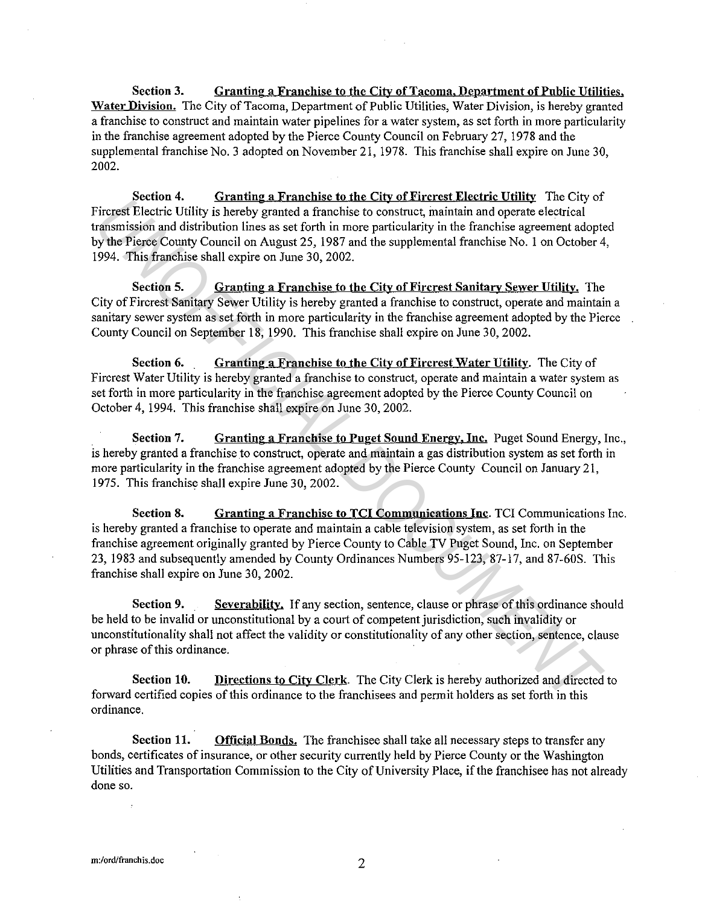Section 3. Granting a Franchise to the City of Tacoma. Department of Pnblic Utilities. Water Division. The City of Tacoma, Department of Public Utilities, Water Division, is hereby granted a franchise to construct and maintain water pipelines for a water system, as set forth in more particularity in the franchise agreement adopted by the Pierce County Council on February 27, 1978 and the supplemental franchise No. 3 adopted on November 21, 1978. This franchise shall expire on June 30, 2002.

Section 4. Granting a Franchise to the City of Fircrest Electric Utility The City of Fircrest Electric Utility is hereby granted a franchise to construct, maintain and operate electrical transmission and distribution lines as set forth in more particularity in the franchise agreement adopted by the Pierce County Council on August 25, 1987 and the supplemental franchise No. 1 on October 4, 1994. This franchise shall expire on June 30, 2002.

Section 5. Granting a Franchise to the City of Fircrest Sanitary Sewer Utility. The City of Fircrest Sanitary Sewer Utility is hereby granted a franchise to construct, operate and maintain a sanitary sewer system as set forth in more particularity in the franchise agreement adopted by the Pierce County Council on September 18, 1990. This franchise shall expire on June 30, 2002.

Section 6. Granting a Franchise to the City of Firerest Water Utility. The City of Fircrest Water Utility is hereby granted a franchise to construct, operate and maintain a water system as set forth in more particularity in the franchise agreement adopted by the Pierce County Council on October 4, 1994. This franchise shall expire on June 30, 2002.

Section 7. Granting a Franchise to Puget Sound Energy, Inc., Puget Sound Energy, Inc., is hereby granted a franchise to construct, operate and maintain a gas distribution system as set forth in more particularity in the franchise agreement adopted by the Pierce County Council on January 21, 1975. This franchise shall expire June 30, 2002.

Section 8. Granting a Franchise to TCI Communications Inc. TCI Communications Inc. is hereby granted a franchise to operate and maintain a cable television system, as set forth in the franchise agreement originally granted by Pierce County to Cable TV Puget Sound, Inc. on September 23, 1983 and subsequently amended by County Ordinances Numbers 95-123, 87-17, and 87-60S. This franchise shall expire on June 30, 2002. **Extending a Franchise to differential and present head to the section of the same of the same of the same of the same of the same of the same of the same of the same of the same of the same of the same of the Figure Count** 

Section 9. Severability. If any section, sentence, clause or phrase of this ordinance should be held to be invalid or unconstitutional by a court of competent jurisdiction, such invalidity or unconstitutionality shall not affect the validity or constitutionality of any other section, sentence, clause or phrase of this ordinance.

Section 10. Directions to City Clerk. The City Clerk is hereby authorized and directed to forward certified copies of this ordinance to the franchisees and permit holders as set forth in this ordinance.

Section 11. Official Bonds. The franchisee shall take all necessary steps to transfer any bonds, certificates of insurance, or other security currently held by Pierce County or the Washington Utilities and Transportation Commission to the City of University Place, if the franchisee has not already done so.